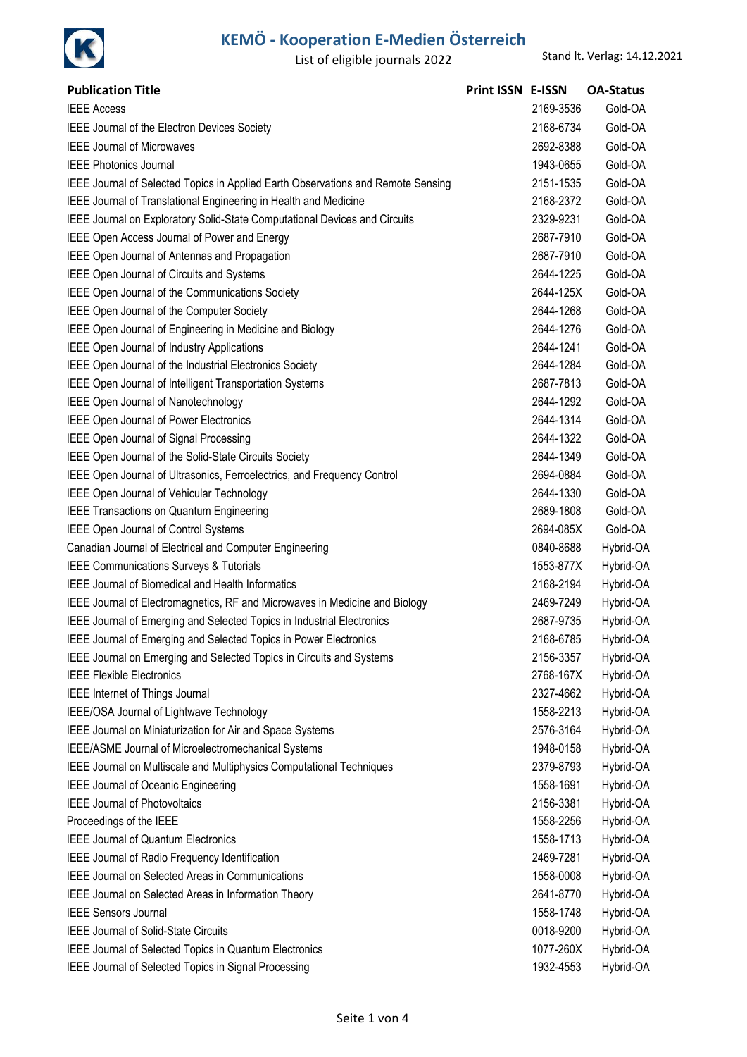

| <b>Publication Title</b>                                                         | Print ISSN E-ISSN |           | <b>OA-Status</b> |
|----------------------------------------------------------------------------------|-------------------|-----------|------------------|
| <b>IEEE Access</b>                                                               |                   | 2169-3536 | Gold-OA          |
| IEEE Journal of the Electron Devices Society                                     |                   | 2168-6734 | Gold-OA          |
| <b>IEEE Journal of Microwaves</b>                                                |                   | 2692-8388 | Gold-OA          |
| <b>IEEE Photonics Journal</b>                                                    |                   | 1943-0655 | Gold-OA          |
| IEEE Journal of Selected Topics in Applied Earth Observations and Remote Sensing |                   | 2151-1535 | Gold-OA          |
| IEEE Journal of Translational Engineering in Health and Medicine                 |                   | 2168-2372 | Gold-OA          |
| IEEE Journal on Exploratory Solid-State Computational Devices and Circuits       |                   | 2329-9231 | Gold-OA          |
| IEEE Open Access Journal of Power and Energy                                     |                   | 2687-7910 | Gold-OA          |
| IEEE Open Journal of Antennas and Propagation                                    |                   | 2687-7910 | Gold-OA          |
| IEEE Open Journal of Circuits and Systems                                        |                   | 2644-1225 | Gold-OA          |
| IEEE Open Journal of the Communications Society                                  |                   | 2644-125X | Gold-OA          |
| IEEE Open Journal of the Computer Society                                        |                   | 2644-1268 | Gold-OA          |
| IEEE Open Journal of Engineering in Medicine and Biology                         |                   | 2644-1276 | Gold-OA          |
| IEEE Open Journal of Industry Applications                                       |                   | 2644-1241 | Gold-OA          |
| IEEE Open Journal of the Industrial Electronics Society                          |                   | 2644-1284 | Gold-OA          |
| IEEE Open Journal of Intelligent Transportation Systems                          |                   | 2687-7813 | Gold-OA          |
| IEEE Open Journal of Nanotechnology                                              |                   | 2644-1292 | Gold-OA          |
| IEEE Open Journal of Power Electronics                                           |                   | 2644-1314 | Gold-OA          |
| IEEE Open Journal of Signal Processing                                           |                   | 2644-1322 | Gold-OA          |
| IEEE Open Journal of the Solid-State Circuits Society                            |                   | 2644-1349 | Gold-OA          |
| IEEE Open Journal of Ultrasonics, Ferroelectrics, and Frequency Control          |                   | 2694-0884 | Gold-OA          |
| IEEE Open Journal of Vehicular Technology                                        |                   | 2644-1330 | Gold-OA          |
| <b>IEEE Transactions on Quantum Engineering</b>                                  |                   | 2689-1808 | Gold-OA          |
| IEEE Open Journal of Control Systems                                             |                   | 2694-085X | Gold-OA          |
| Canadian Journal of Electrical and Computer Engineering                          |                   | 0840-8688 | Hybrid-OA        |
| IEEE Communications Surveys & Tutorials                                          |                   | 1553-877X | Hybrid-OA        |
| <b>IEEE Journal of Biomedical and Health Informatics</b>                         |                   | 2168-2194 | Hybrid-OA        |
| IEEE Journal of Electromagnetics, RF and Microwaves in Medicine and Biology      |                   | 2469-7249 | Hybrid-OA        |
| IEEE Journal of Emerging and Selected Topics in Industrial Electronics           |                   | 2687-9735 | Hybrid-OA        |
| IEEE Journal of Emerging and Selected Topics in Power Electronics                |                   | 2168-6785 | Hybrid-OA        |
| IEEE Journal on Emerging and Selected Topics in Circuits and Systems             |                   | 2156-3357 | Hybrid-OA        |
| <b>IEEE Flexible Electronics</b>                                                 |                   | 2768-167X | Hybrid-OA        |
| IEEE Internet of Things Journal                                                  |                   | 2327-4662 | Hybrid-OA        |
| IEEE/OSA Journal of Lightwave Technology                                         |                   | 1558-2213 | Hybrid-OA        |
| IEEE Journal on Miniaturization for Air and Space Systems                        |                   | 2576-3164 | Hybrid-OA        |
| IEEE/ASME Journal of Microelectromechanical Systems                              |                   | 1948-0158 | Hybrid-OA        |
| IEEE Journal on Multiscale and Multiphysics Computational Techniques             |                   | 2379-8793 | Hybrid-OA        |
| IEEE Journal of Oceanic Engineering                                              |                   | 1558-1691 | Hybrid-OA        |
| <b>IEEE Journal of Photovoltaics</b>                                             |                   | 2156-3381 | Hybrid-OA        |
| Proceedings of the IEEE                                                          |                   | 1558-2256 | Hybrid-OA        |
| <b>IEEE Journal of Quantum Electronics</b>                                       |                   | 1558-1713 | Hybrid-OA        |
| IEEE Journal of Radio Frequency Identification                                   |                   | 2469-7281 | Hybrid-OA        |
| IEEE Journal on Selected Areas in Communications                                 |                   | 1558-0008 | Hybrid-OA        |
| IEEE Journal on Selected Areas in Information Theory                             |                   | 2641-8770 | Hybrid-OA        |
| <b>IEEE Sensors Journal</b>                                                      |                   | 1558-1748 | Hybrid-OA        |
| IEEE Journal of Solid-State Circuits                                             |                   | 0018-9200 | Hybrid-OA        |
| IEEE Journal of Selected Topics in Quantum Electronics                           |                   | 1077-260X | Hybrid-OA        |
| IEEE Journal of Selected Topics in Signal Processing                             |                   | 1932-4553 | Hybrid-OA        |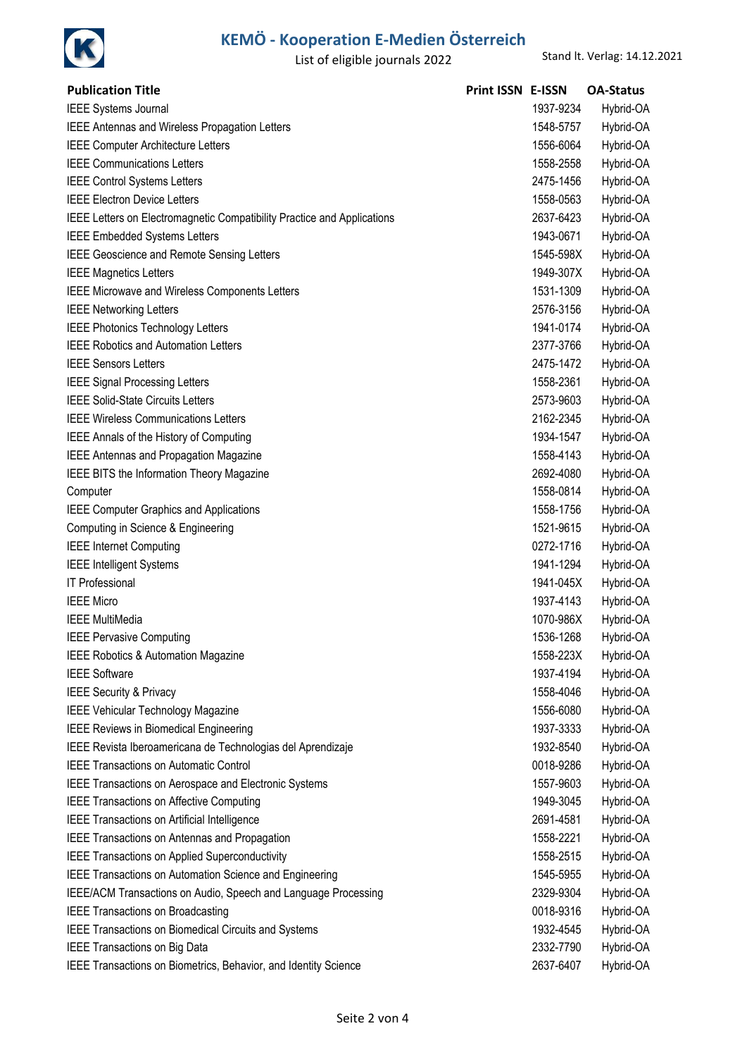

| <b>Publication Title</b>                                                | <b>Print ISSN E-ISSN</b> |           | <b>OA-Status</b> |
|-------------------------------------------------------------------------|--------------------------|-----------|------------------|
| <b>IEEE Systems Journal</b>                                             |                          | 1937-9234 | Hybrid-OA        |
| IEEE Antennas and Wireless Propagation Letters                          |                          | 1548-5757 | Hybrid-OA        |
| <b>IEEE Computer Architecture Letters</b>                               |                          | 1556-6064 | Hybrid-OA        |
| <b>IEEE Communications Letters</b>                                      |                          | 1558-2558 | Hybrid-OA        |
| <b>IEEE Control Systems Letters</b>                                     |                          | 2475-1456 | Hybrid-OA        |
| <b>IEEE Electron Device Letters</b>                                     |                          | 1558-0563 | Hybrid-OA        |
| IEEE Letters on Electromagnetic Compatibility Practice and Applications |                          | 2637-6423 | Hybrid-OA        |
| <b>IEEE Embedded Systems Letters</b>                                    |                          | 1943-0671 | Hybrid-OA        |
| IEEE Geoscience and Remote Sensing Letters                              |                          | 1545-598X | Hybrid-OA        |
| <b>IEEE Magnetics Letters</b>                                           |                          | 1949-307X | Hybrid-OA        |
| <b>IEEE Microwave and Wireless Components Letters</b>                   |                          | 1531-1309 | Hybrid-OA        |
| <b>IEEE Networking Letters</b>                                          |                          | 2576-3156 | Hybrid-OA        |
| <b>IEEE Photonics Technology Letters</b>                                |                          | 1941-0174 | Hybrid-OA        |
| <b>IEEE Robotics and Automation Letters</b>                             |                          | 2377-3766 | Hybrid-OA        |
| <b>IEEE Sensors Letters</b>                                             |                          | 2475-1472 | Hybrid-OA        |
| <b>IEEE Signal Processing Letters</b>                                   |                          | 1558-2361 | Hybrid-OA        |
| <b>IEEE Solid-State Circuits Letters</b>                                |                          | 2573-9603 | Hybrid-OA        |
| <b>IEEE Wireless Communications Letters</b>                             |                          | 2162-2345 | Hybrid-OA        |
| IEEE Annals of the History of Computing                                 |                          | 1934-1547 | Hybrid-OA        |
| IEEE Antennas and Propagation Magazine                                  |                          | 1558-4143 | Hybrid-OA        |
| IEEE BITS the Information Theory Magazine                               |                          | 2692-4080 | Hybrid-OA        |
| Computer                                                                |                          | 1558-0814 | Hybrid-OA        |
| <b>IEEE Computer Graphics and Applications</b>                          |                          | 1558-1756 | Hybrid-OA        |
| Computing in Science & Engineering                                      |                          | 1521-9615 | Hybrid-OA        |
| <b>IEEE Internet Computing</b>                                          |                          | 0272-1716 | Hybrid-OA        |
| <b>IEEE Intelligent Systems</b>                                         |                          | 1941-1294 | Hybrid-OA        |
| <b>IT Professional</b>                                                  |                          | 1941-045X | Hybrid-OA        |
| <b>IEEE Micro</b>                                                       |                          | 1937-4143 | Hybrid-OA        |
| <b>IEEE MultiMedia</b>                                                  |                          | 1070-986X | Hybrid-OA        |
| <b>IEEE Pervasive Computing</b>                                         |                          | 1536-1268 | Hybrid-OA        |
| IEEE Robotics & Automation Magazine                                     |                          | 1558-223X | Hybrid-OA        |
| <b>IEEE Software</b>                                                    |                          | 1937-4194 | Hybrid-OA        |
| <b>IEEE Security &amp; Privacy</b>                                      |                          | 1558-4046 | Hybrid-OA        |
| <b>IEEE Vehicular Technology Magazine</b>                               |                          | 1556-6080 | Hybrid-OA        |
| <b>IEEE Reviews in Biomedical Engineering</b>                           |                          | 1937-3333 | Hybrid-OA        |
| IEEE Revista Iberoamericana de Technologias del Aprendizaje             |                          | 1932-8540 | Hybrid-OA        |
| <b>IEEE Transactions on Automatic Control</b>                           |                          | 0018-9286 | Hybrid-OA        |
| IEEE Transactions on Aerospace and Electronic Systems                   |                          | 1557-9603 | Hybrid-OA        |
| <b>IEEE Transactions on Affective Computing</b>                         |                          | 1949-3045 | Hybrid-OA        |
| IEEE Transactions on Artificial Intelligence                            |                          | 2691-4581 | Hybrid-OA        |
| IEEE Transactions on Antennas and Propagation                           |                          | 1558-2221 | Hybrid-OA        |
| <b>IEEE Transactions on Applied Superconductivity</b>                   |                          | 1558-2515 | Hybrid-OA        |
| IEEE Transactions on Automation Science and Engineering                 |                          | 1545-5955 | Hybrid-OA        |
| IEEE/ACM Transactions on Audio, Speech and Language Processing          |                          | 2329-9304 | Hybrid-OA        |
| <b>IEEE Transactions on Broadcasting</b>                                |                          | 0018-9316 | Hybrid-OA        |
| IEEE Transactions on Biomedical Circuits and Systems                    |                          | 1932-4545 | Hybrid-OA        |
| IEEE Transactions on Big Data                                           |                          | 2332-7790 | Hybrid-OA        |
| IEEE Transactions on Biometrics, Behavior, and Identity Science         |                          | 2637-6407 | Hybrid-OA        |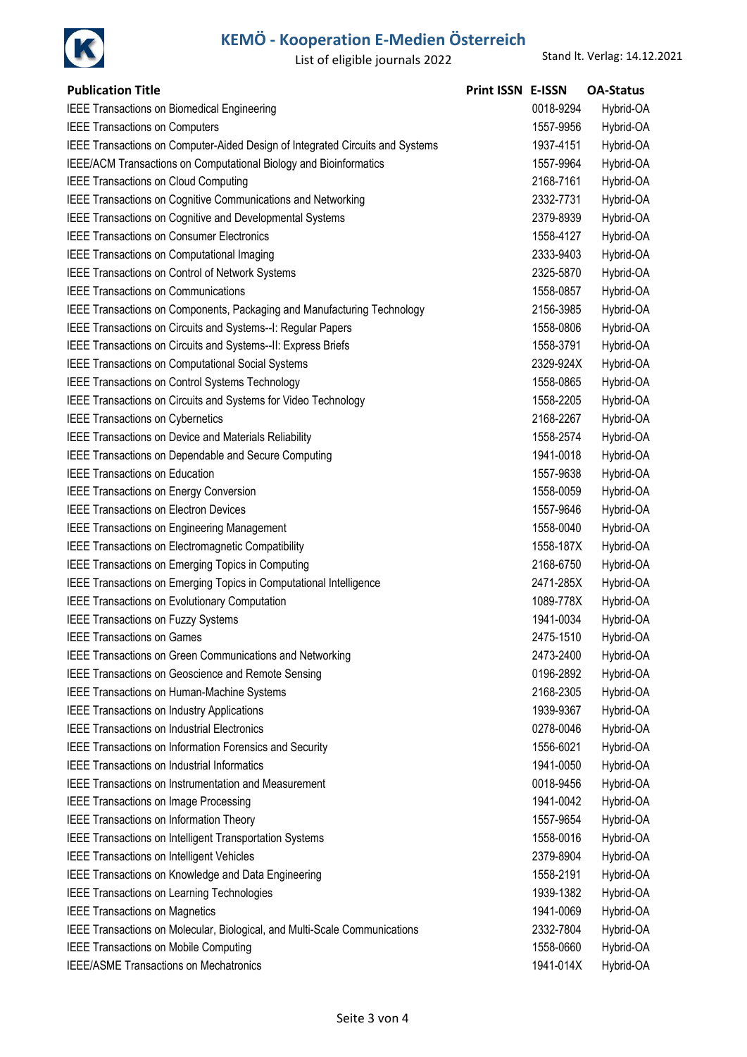

| <b>Publication Title</b>                                                      | Print ISSN E-ISSN |           | <b>OA-Status</b> |
|-------------------------------------------------------------------------------|-------------------|-----------|------------------|
| IEEE Transactions on Biomedical Engineering                                   |                   | 0018-9294 | Hybrid-OA        |
| <b>IEEE Transactions on Computers</b>                                         |                   | 1557-9956 | Hybrid-OA        |
| IEEE Transactions on Computer-Aided Design of Integrated Circuits and Systems |                   | 1937-4151 | Hybrid-OA        |
| IEEE/ACM Transactions on Computational Biology and Bioinformatics             |                   | 1557-9964 | Hybrid-OA        |
| <b>IEEE Transactions on Cloud Computing</b>                                   |                   | 2168-7161 | Hybrid-OA        |
| IEEE Transactions on Cognitive Communications and Networking                  |                   | 2332-7731 | Hybrid-OA        |
| IEEE Transactions on Cognitive and Developmental Systems                      |                   | 2379-8939 | Hybrid-OA        |
| <b>IEEE Transactions on Consumer Electronics</b>                              |                   | 1558-4127 | Hybrid-OA        |
| <b>IEEE Transactions on Computational Imaging</b>                             |                   | 2333-9403 | Hybrid-OA        |
| IEEE Transactions on Control of Network Systems                               |                   | 2325-5870 | Hybrid-OA        |
| <b>IEEE Transactions on Communications</b>                                    |                   | 1558-0857 | Hybrid-OA        |
| IEEE Transactions on Components, Packaging and Manufacturing Technology       |                   | 2156-3985 | Hybrid-OA        |
| IEEE Transactions on Circuits and Systems--I: Regular Papers                  |                   | 1558-0806 | Hybrid-OA        |
| IEEE Transactions on Circuits and Systems--II: Express Briefs                 |                   | 1558-3791 | Hybrid-OA        |
| IEEE Transactions on Computational Social Systems                             |                   | 2329-924X | Hybrid-OA        |
| IEEE Transactions on Control Systems Technology                               |                   | 1558-0865 | Hybrid-OA        |
| IEEE Transactions on Circuits and Systems for Video Technology                |                   | 1558-2205 | Hybrid-OA        |
| <b>IEEE Transactions on Cybernetics</b>                                       |                   | 2168-2267 | Hybrid-OA        |
| IEEE Transactions on Device and Materials Reliability                         |                   | 1558-2574 | Hybrid-OA        |
| IEEE Transactions on Dependable and Secure Computing                          |                   | 1941-0018 | Hybrid-OA        |
| <b>IEEE Transactions on Education</b>                                         |                   | 1557-9638 | Hybrid-OA        |
| <b>IEEE Transactions on Energy Conversion</b>                                 |                   | 1558-0059 | Hybrid-OA        |
| <b>IEEE Transactions on Electron Devices</b>                                  |                   | 1557-9646 | Hybrid-OA        |
| <b>IEEE Transactions on Engineering Management</b>                            |                   | 1558-0040 | Hybrid-OA        |
| IEEE Transactions on Electromagnetic Compatibility                            |                   | 1558-187X | Hybrid-OA        |
| <b>IEEE Transactions on Emerging Topics in Computing</b>                      |                   | 2168-6750 | Hybrid-OA        |
| IEEE Transactions on Emerging Topics in Computational Intelligence            |                   | 2471-285X | Hybrid-OA        |
| IEEE Transactions on Evolutionary Computation                                 |                   | 1089-778X | Hybrid-OA        |
| <b>IEEE Transactions on Fuzzy Systems</b>                                     |                   | 1941-0034 | Hybrid-OA        |
| <b>IEEE Transactions on Games</b>                                             |                   | 2475-1510 | Hybrid-OA        |
| <b>IEEE Transactions on Green Communications and Networking</b>               |                   | 2473-2400 | Hybrid-OA        |
| IEEE Transactions on Geoscience and Remote Sensing                            |                   | 0196-2892 | Hybrid-OA        |
| IEEE Transactions on Human-Machine Systems                                    |                   | 2168-2305 | Hybrid-OA        |
| <b>IEEE Transactions on Industry Applications</b>                             |                   | 1939-9367 | Hybrid-OA        |
| <b>IEEE Transactions on Industrial Electronics</b>                            |                   | 0278-0046 | Hybrid-OA        |
| IEEE Transactions on Information Forensics and Security                       |                   | 1556-6021 | Hybrid-OA        |
| <b>IEEE Transactions on Industrial Informatics</b>                            |                   | 1941-0050 | Hybrid-OA        |
| <b>IEEE Transactions on Instrumentation and Measurement</b>                   |                   | 0018-9456 | Hybrid-OA        |
| <b>IEEE Transactions on Image Processing</b>                                  |                   | 1941-0042 | Hybrid-OA        |
| IEEE Transactions on Information Theory                                       |                   | 1557-9654 | Hybrid-OA        |
| IEEE Transactions on Intelligent Transportation Systems                       |                   | 1558-0016 | Hybrid-OA        |
| <b>IEEE Transactions on Intelligent Vehicles</b>                              |                   | 2379-8904 | Hybrid-OA        |
| IEEE Transactions on Knowledge and Data Engineering                           |                   | 1558-2191 | Hybrid-OA        |
| <b>IEEE Transactions on Learning Technologies</b>                             |                   | 1939-1382 | Hybrid-OA        |
| <b>IEEE Transactions on Magnetics</b>                                         |                   | 1941-0069 | Hybrid-OA        |
| IEEE Transactions on Molecular, Biological, and Multi-Scale Communications    |                   | 2332-7804 | Hybrid-OA        |
| <b>IEEE Transactions on Mobile Computing</b>                                  |                   | 1558-0660 | Hybrid-OA        |
| <b>IEEE/ASME Transactions on Mechatronics</b>                                 |                   | 1941-014X | Hybrid-OA        |